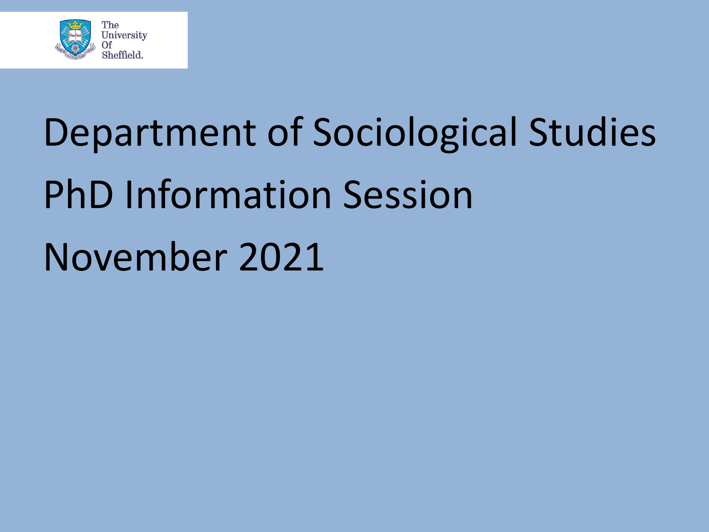

# Department of Sociological Studies PhD Information Session November 2021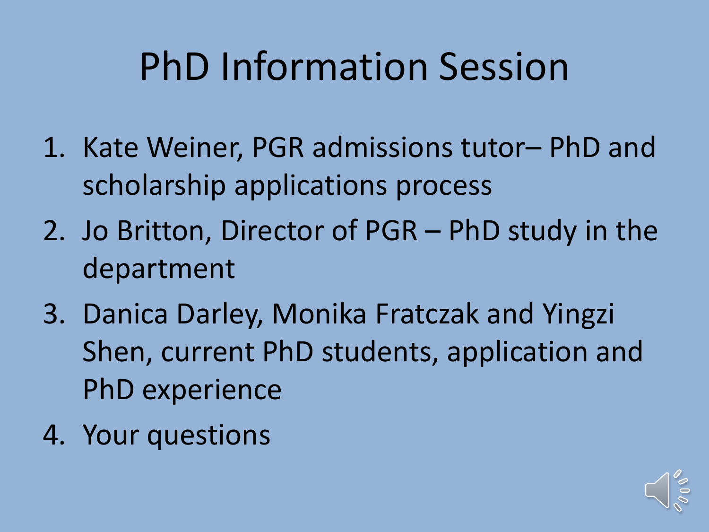### PhD Information Session

- 1. Kate Weiner, PGR admissions tutor– PhD and scholarship applications process
- 2. Jo Britton, Director of PGR PhD study in the department
- 3. Danica Darley, Monika Fratczak and Yingzi Shen, current PhD students, application and PhD experience
- 4. Your questions

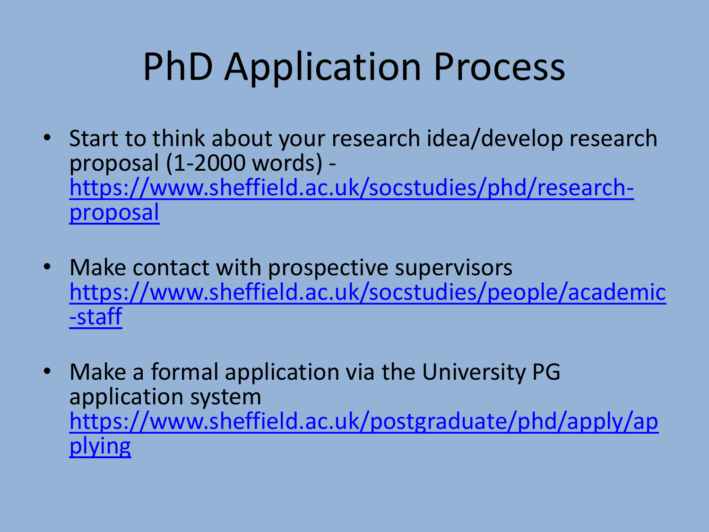### PhD Application Process

- Start to think about your research idea/develop research proposal (1-2000 words) [https://www.sheffield.ac.uk/socstudies/phd/research](https://www.sheffield.ac.uk/socstudies/phd/research-proposal)proposal
- Make contact with prospective supervisors [https://www.sheffield.ac.uk/socstudies/people/academic](https://www.sheffield.ac.uk/socstudies/people/academic-staff) -staff
- Make a formal application via the University PG application system [https://www.sheffield.ac.uk/postgraduate/phd/apply/ap](https://www.sheffield.ac.uk/postgraduate/phd/apply/applying) plying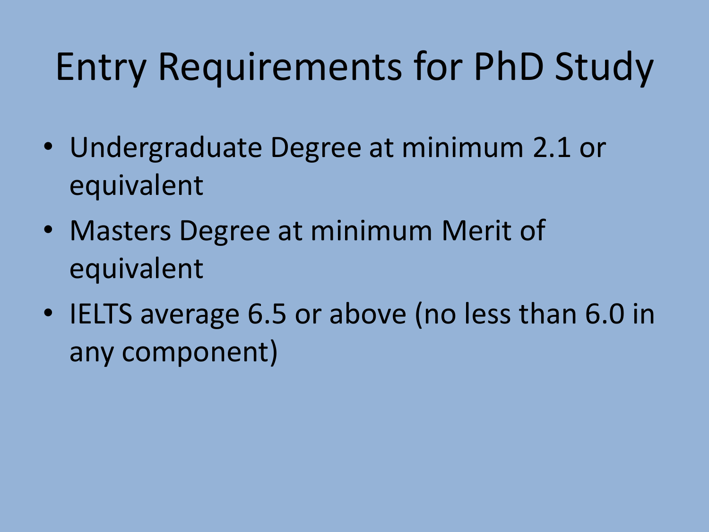### Entry Requirements for PhD Study

- Undergraduate Degree at minimum 2.1 or equivalent
- Masters Degree at minimum Merit of equivalent
- IELTS average 6.5 or above (no less than 6.0 in any component)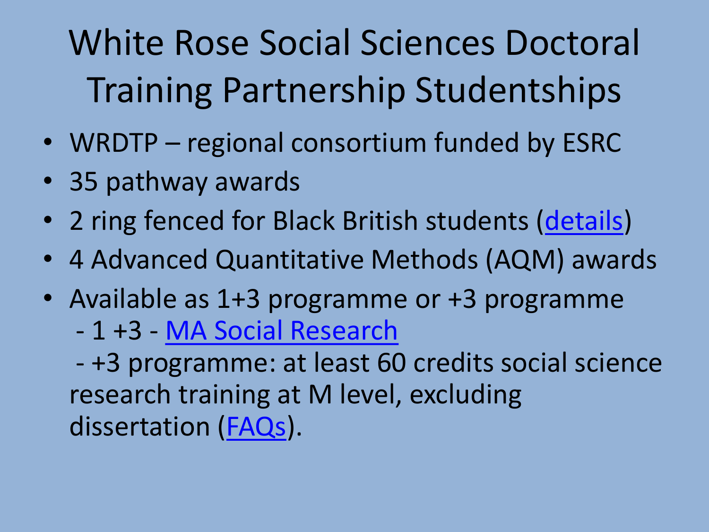### White Rose Social Sciences Doctoral Training Partnership Studentships

- WRDTP regional consortium funded by ESRC
- 35 pathway awards
- 2 ring fenced for Black British students [\(details](https://wrdtp.ac.uk/studentships/wrdtp-stuart-hall-foundation-awards/))
- 4 Advanced Quantitative Methods (AQM) awards
- Available as 1+3 programme or +3 programme
	- 1 +3 [MA Social Research](https://www.sheffield.ac.uk/smi/postgraduate/ma-social-research)

- +3 programme: at least 60 credits social science research training at M level, excluding dissertation ([FAQs\)](https://wrdtp.ac.uk/wp-content/uploads/2021/11/WRDTP-Studentship-FAQs-2022-nov-update.docx).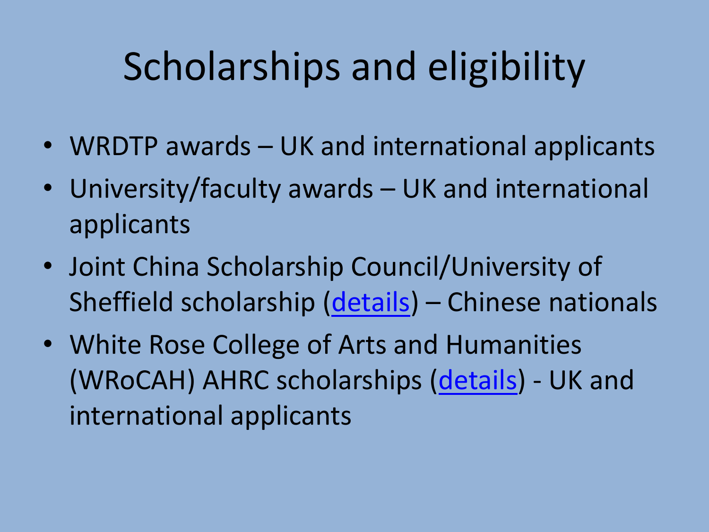### Scholarships and eligibility

- WRDTP awards UK and international applicants
- University/faculty awards UK and international applicants
- Joint China Scholarship Council/University of Sheffield scholarship ([details\)](https://www.sheffield.ac.uk/postgraduate/phd/scholarships/csc) – Chinese nationals
- White Rose College of Arts and Humanities (WRoCAH) AHRC scholarships [\(details](https://wrocah.ac.uk/funding/prospective-students/2022-wrocah-ahrc-open-competition-studentships/)) - UK and international applicants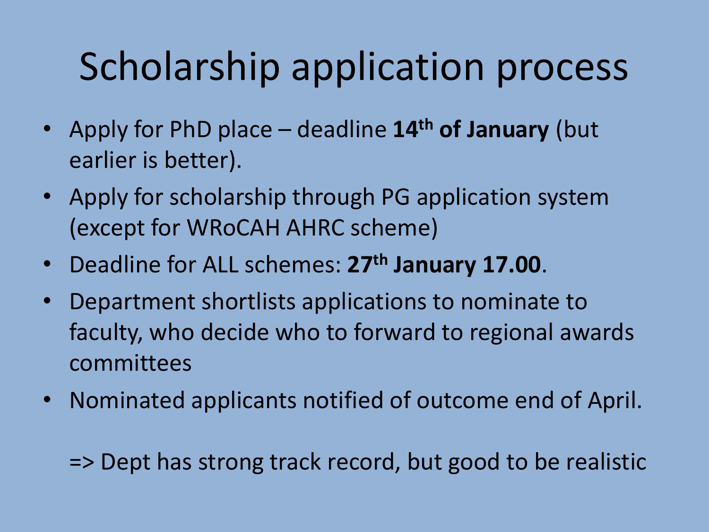### Scholarship application process

- Apply for PhD place deadline **14th of January** (but earlier is better).
- Apply for scholarship through PG application system (except for WRoCAH AHRC scheme)
- Deadline for ALL schemes: **27th January 17.00**.
- Department shortlists applications to nominate to faculty, who decide who to forward to regional awards committees
- Nominated applicants notified of outcome end of April.

=> Dept has strong track record, but good to be realistic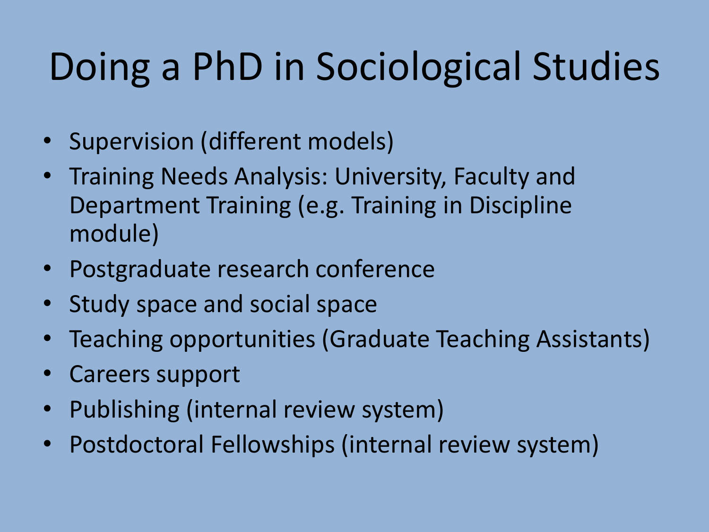# Doing a PhD in Sociological Studies

- Supervision (different models)
- Training Needs Analysis: University, Faculty and Department Training (e.g. Training in Discipline module)
- Postgraduate research conference
- Study space and social space
- Teaching opportunities (Graduate Teaching Assistants)
- Careers support
- Publishing (internal review system)
- Postdoctoral Fellowships (internal review system)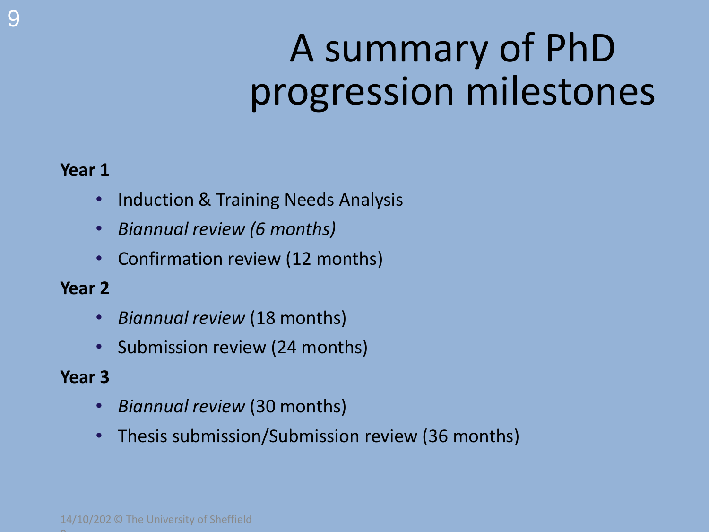# A summary of PhD progression milestones

#### **Year 1**

- Induction & Training Needs Analysis
- *Biannual review (6 months)*
- Confirmation review (12 months)

#### **Year 2**

- *Biannual review* (18 months)
- Submission review (24 months)

#### **Year 3**

- *Biannual review* (30 months)
- Thesis submission/Submission review (36 months)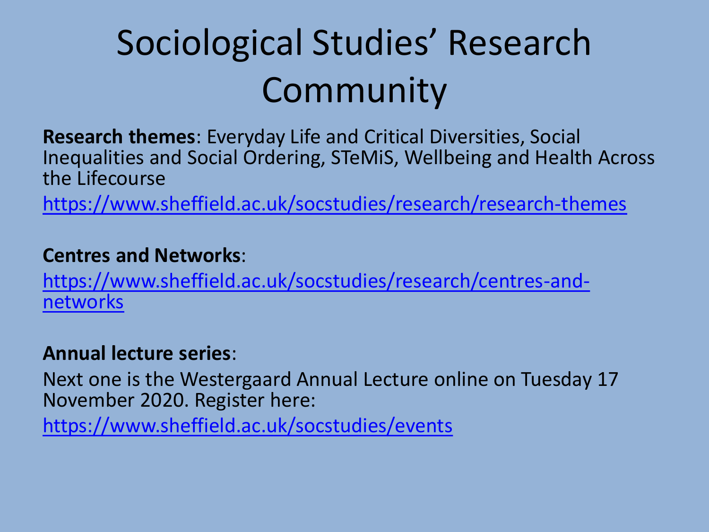#### Sociological Studies' Research Community

**Research themes**: Everyday Life and Critical Diversities, Social Inequalities and Social Ordering, STeMiS, Wellbeing and Health Across the Lifecourse

<https://www.sheffield.ac.uk/socstudies/research/research-themes>

#### **Centres and Networks**:

[https://www.sheffield.ac.uk/socstudies/research/centres-and](https://www.sheffield.ac.uk/socstudies/research/centres-and-networks)networks

#### **Annual lecture series**:

Next one is the Westergaard Annual Lecture online on Tuesday 17 November 2020. Register here:

<https://www.sheffield.ac.uk/socstudies/events>